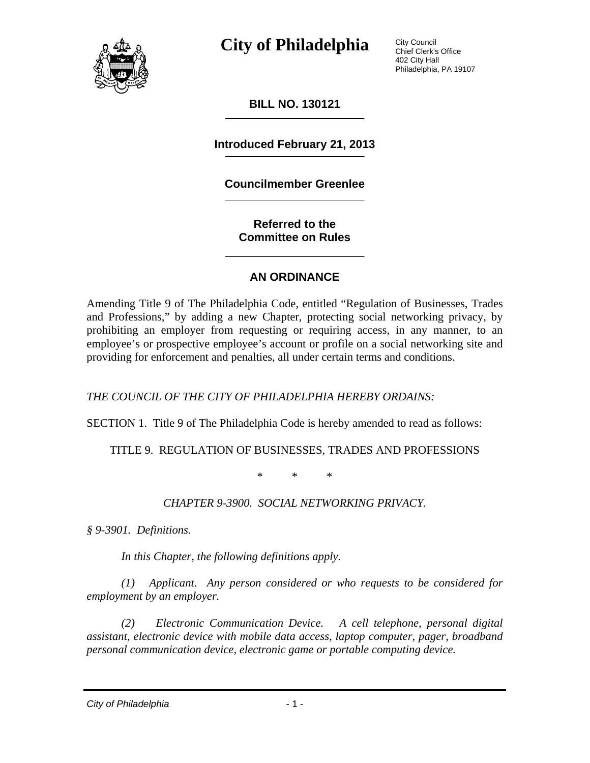

City Council Chief Clerk's Office 402 City Hall Philadelphia, PA 19107

**BILL NO. 130121** 

**Introduced February 21, 2013** 

#### **Councilmember Greenlee**

**Referred to the Committee on Rules** 

#### **AN ORDINANCE**

Amending Title 9 of The Philadelphia Code, entitled "Regulation of Businesses, Trades and Professions," by adding a new Chapter, protecting social networking privacy, by prohibiting an employer from requesting or requiring access, in any manner, to an employee's or prospective employee's account or profile on a social networking site and providing for enforcement and penalties, all under certain terms and conditions.

*THE COUNCIL OF THE CITY OF PHILADELPHIA HEREBY ORDAINS:* 

SECTION 1. Title 9 of The Philadelphia Code is hereby amended to read as follows:

TITLE 9. REGULATION OF BUSINESSES, TRADES AND PROFESSIONS

\* \* \*

*CHAPTER 9-3900. SOCIAL NETWORKING PRIVACY.* 

*§ 9-3901. Definitions.* 

 *In this Chapter, the following definitions apply.* 

*(1) Applicant. Any person considered or who requests to be considered for employment by an employer.* 

 *(2) Electronic Communication Device. A cell telephone, personal digital assistant, electronic device with mobile data access, laptop computer, pager, broadband personal communication device, electronic game or portable computing device.* 

*City of Philadelphia* - 1 -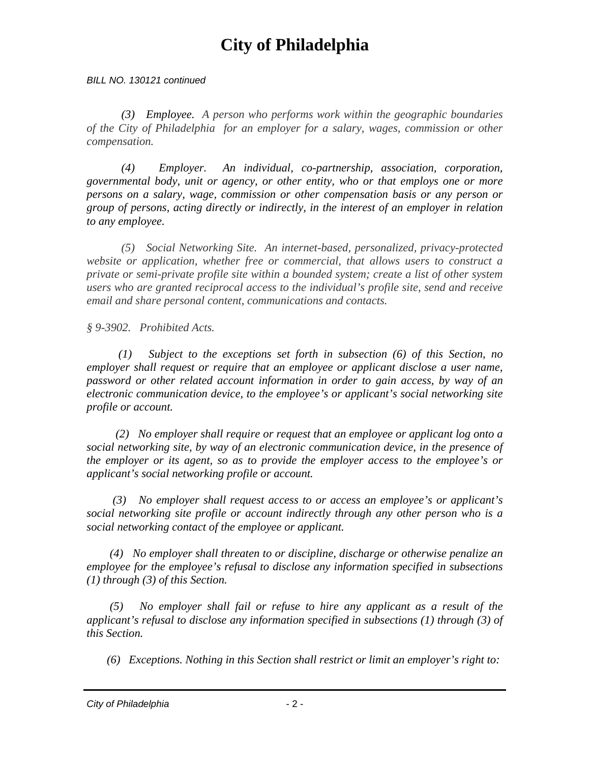*BILL NO. 130121 continued* 

*(3) Employee. A person who performs work within the geographic boundaries of the City of Philadelphia for an employer for a salary, wages, commission or other compensation.* 

 *(4) Employer. An individual, co-partnership, association, corporation, governmental body, unit or agency, or other entity, who or that employs one or more persons on a salary, wage, commission or other compensation basis or any person or group of persons, acting directly or indirectly, in the interest of an employer in relation to any employee.* 

*(5) Social Networking Site. An internet-based, personalized, privacy-protected website or application, whether free or commercial, that allows users to construct a private or semi-private profile site within a bounded system; create a list of other system users who are granted reciprocal access to the individual's profile site, send and receive email and share personal content, communications and contacts.* 

*§ 9-3902. Prohibited Acts.* 

 *(1) Subject to the exceptions set forth in subsection (6) of this Section, no employer shall request or require that an employee or applicant disclose a user name, password or other related account information in order to gain access, by way of an electronic communication device, to the employee's or applicant's social networking site profile or account.* 

 *(2) No employer shall require or request that an employee or applicant log onto a social networking site, by way of an electronic communication device, in the presence of the employer or its agent, so as to provide the employer access to the employee's or applicant's social networking profile or account.* 

 *(3) No employer shall request access to or access an employee's or applicant's social networking site profile or account indirectly through any other person who is a social networking contact of the employee or applicant.* 

 *(4) No employer shall threaten to or discipline, discharge or otherwise penalize an employee for the employee's refusal to disclose any information specified in subsections (1) through (3) of this Section.* 

*No employer shall fail or refuse to hire any applicant as a result of the applicant's refusal to disclose any information specified in subsections (1) through (3) of this Section.* 

 *(6) Exceptions. Nothing in this Section shall restrict or limit an employer's right to:* 

*City of Philadelphia* - 2 -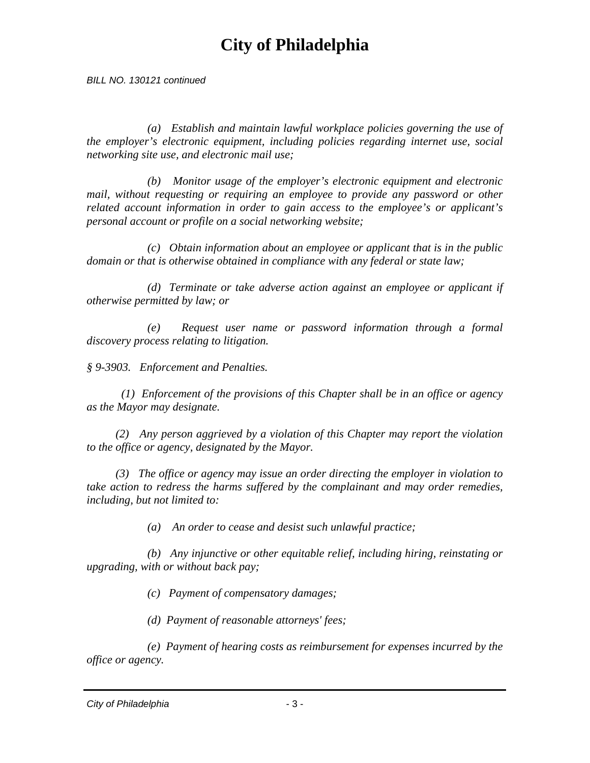*BILL NO. 130121 continued* 

 *(a) Establish and maintain lawful workplace policies governing the use of the employer's electronic equipment, including policies regarding internet use, social networking site use, and electronic mail use;* 

 *(b) Monitor usage of the employer's electronic equipment and electronic mail, without requesting or requiring an employee to provide any password or other related account information in order to gain access to the employee's or applicant's personal account or profile on a social networking website;* 

 *(c) Obtain information about an employee or applicant that is in the public domain or that is otherwise obtained in compliance with any federal or state law;* 

 *(d) Terminate or take adverse action against an employee or applicant if otherwise permitted by law; or* 

 *(e) Request user name or password information through a formal discovery process relating to litigation.* 

*§ 9-3903. Enforcement and Penalties.* 

 *(1) Enforcement of the provisions of this Chapter shall be in an office or agency as the Mayor may designate.* 

 *(2) Any person aggrieved by a violation of this Chapter may report the violation to the office or agency, designated by the Mayor.* 

 *(3) The office or agency may issue an order directing the employer in violation to take action to redress the harms suffered by the complainant and may order remedies, including, but not limited to:* 

 *(a) An order to cease and desist such unlawful practice;* 

 *(b) Any injunctive or other equitable relief, including hiring, reinstating or upgrading, with or without back pay;* 

 *(c) Payment of compensatory damages;* 

 *(d) Payment of reasonable attorneys' fees;* 

 *(e) Payment of hearing costs as reimbursement for expenses incurred by the office or agency.* 

*City of Philadelphia* - 3 -